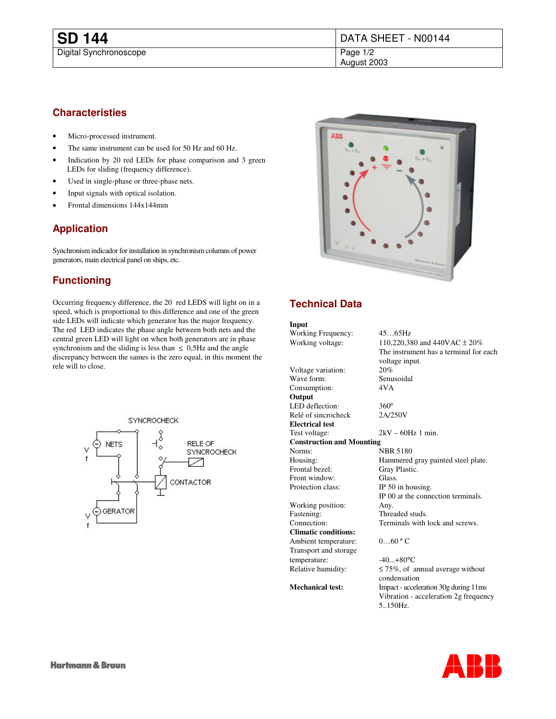## **Characteristies**

- Micro-processed instrument.
- The same instrument can be used for 50 Hz and 60 Hz.
- Indication by 20 red LEDs for phase comparison and 3 green LEDs for sliding (frequency difference).
- Used in single-phase or three-phase nets.
- Input signals with optical isolation.
- Frontal dimensions 144x144mm

## **Application**

Synchronism indicador for installation in synchronism columns of power generators, main electrical panel on ships, etc.

# **Functioning**

Occurring frequency difference, the 20 red LEDS will light on in a speed, which is proportional to this difference and one of the green side LEDs will indicate which generator has the major frequency. The red LED indicates the phase angle between both nets and the central green LED will light on when both generators are in phase synchronism and the sliding is less than  $\leq$  0,5Hz and the angle discrepancy between the sames is the zero equal, in this moment the rele will to close.





# **Technical Data**

#### **Input** Working Frequency: 45…65Hz Working voltage: 110,220,380 and 440VAC ± 20% The instrument has a terminal for each voltage input. Voltage variation: 20%<br>Wave form: Senusoidal Wave form: Consumption: 4VA **Output** LED deflection: 360°<br>Relé of sincrocheck 2A/250V Relé of sincrocheck **Electrical test** Test voltage:  $2kV - 60Hz$  1 min. **Construction and Mounting** NBR 5180 Housing: Hammered gray painted steel plate. Frontal bezel: Gray Plastic. Front window: Glass. Protection class: IP 50 in housing. IP 00 at the connection terminals. Working position: Any. Fastening: Threaded studs.<br>
Connection: Terminals with Terminals with lock and screws. **Climatic conditions:** Ambient temperature:  $0...60$  ° C Transport and storage temperature:  $-40...+80$ °C Relative humidity:  $\leq 75\%$ , of annual average without condensation **Mechanical test:** Impact - acceleration 30g during 11ms Vibration - acceleration 2g frequency 5..150Hz.